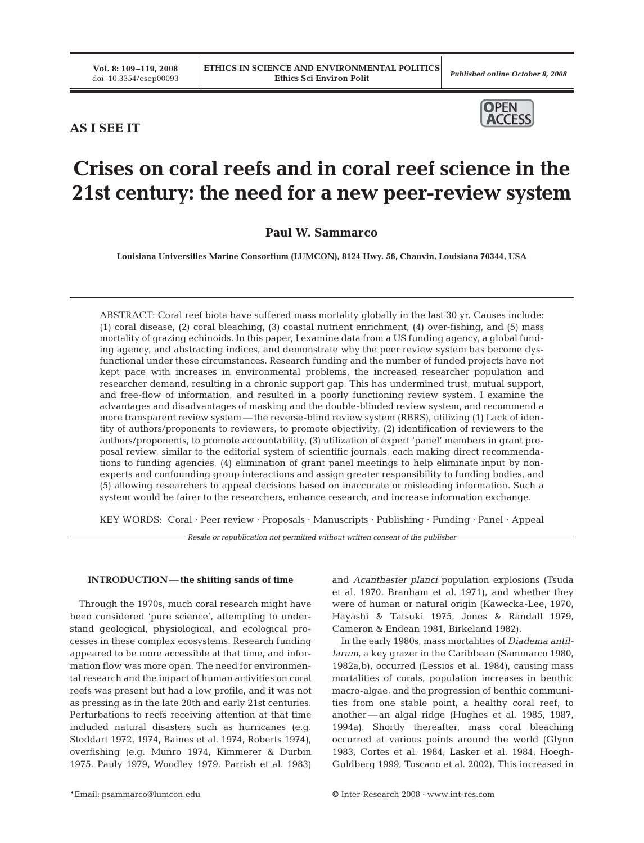# **AS I SEE IT**



# **Crises on coral reefs and in coral reef science in the 21st century: the need for a new peer-review system**

**Paul W. Sammarco**

**Louisiana Universities Marine Consortium (LUMCON), 8124 Hwy. 56, Chauvin, Louisiana 70344, USA**

ABSTRACT: Coral reef biota have suffered mass mortality globally in the last 30 yr. Causes include: (1) coral disease, (2) coral bleaching, (3) coastal nutrient enrichment, (4) over-fishing, and (5) mass mortality of grazing echinoids. In this paper, I examine data from a US funding agency, a global funding agency, and abstracting indices, and demonstrate why the peer review system has become dysfunctional under these circumstances. Research funding and the number of funded projects have not kept pace with increases in environmental problems, the increased researcher population and researcher demand, resulting in a chronic support gap. This has undermined trust, mutual support, and free-flow of information, and resulted in a poorly functioning review system. I examine the advantages and disadvantages of masking and the double-blinded review system, and recommend a more transparent review system — the reverse-blind review system (RBRS), utilizing (1) Lack of identity of authors/proponents to reviewers, to promote objectivity, (2) identification of reviewers to the authors/proponents, to promote accountability, (3) utilization of expert 'panel' members in grant proposal review, similar to the editorial system of scientific journals, each making direct recommendations to funding agencies, (4) elimination of grant panel meetings to help eliminate input by nonexperts and confounding group interactions and assign greater responsibility to funding bodies, and (5) allowing researchers to appeal decisions based on inaccurate or misleading information. Such a system would be fairer to the researchers, enhance research, and increase information exchange.

KEY WORDS: Coral · Peer review · Proposals · Manuscripts · Publishing · Funding · Panel · Appeal

*Resale or republication not permitted without written consent of the publisher*

# **INTRODUCTION — the shifting sands of time**

Through the 1970s, much coral research might have been considered 'pure science', attempting to understand geological, physiological, and ecological processes in these complex ecosystems. Research funding appeared to be more accessible at that time, and information flow was more open. The need for environmental research and the impact of human activities on coral reefs was present but had a low profile, and it was not as pressing as in the late 20th and early 21st centuries. Perturbations to reefs receiving attention at that time included natural disasters such as hurricanes (e.g. Stoddart 1972, 1974, Baines et al. 1974, Roberts 1974), overfishing (e.g. Munro 1974, Kimmerer & Durbin 1975, Pauly 1979, Woodley 1979, Parrish et al. 1983)

\*Email: psammarco@lumcon.edu © Inter-Research 2008 · www.int-res.com

and *Acanthaster planci* population explosions (Tsuda et al. 1970, Branham et al. 1971), and whether they were of human or natural origin (Kawecka-Lee, 1970, Hayashi & Tatsuki 1975, Jones & Randall 1979, Cameron & Endean 1981, Birkeland 1982).

In the early 1980s, mass mortalities of *Diadema antillarum,* a key grazer in the Caribbean (Sammarco 1980, 1982a,b), occurred (Lessios et al. 1984), causing mass mortalities of corals, population increases in benthic macro-algae, and the progression of benthic communities from one stable point, a healthy coral reef, to another — an algal ridge (Hughes et al. 1985, 1987, 1994a). Shortly thereafter, mass coral bleaching occurred at various points around the world (Glynn 1983, Cortes et al. 1984, Lasker et al. 1984, Hoegh-Guldberg 1999, Toscano et al. 2002). This increased in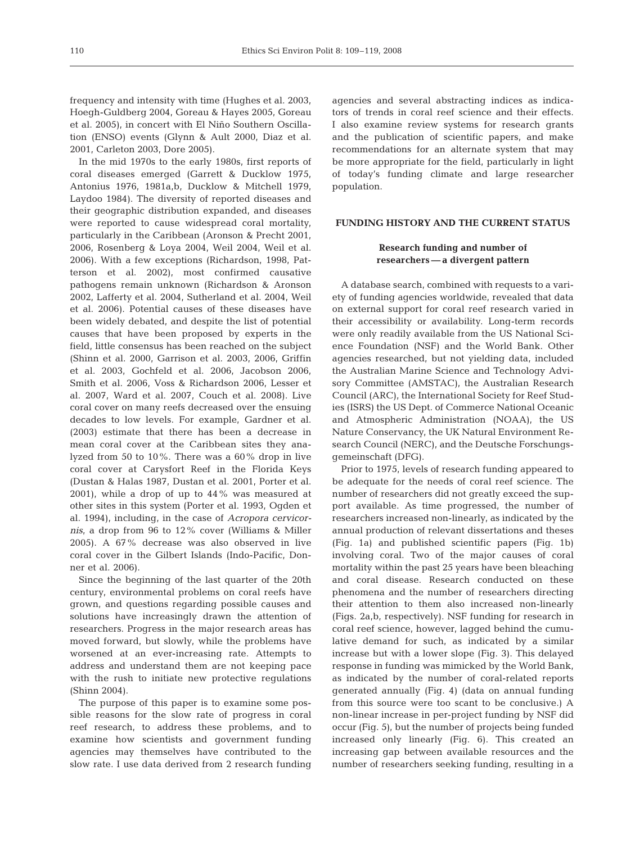frequency and intensity with time (Hughes et al. 2003, Hoegh-Guldberg 2004, Goreau & Hayes 2005, Goreau et al. 2005), in concert with El Niño Southern Oscillation (ENSO) events (Glynn & Ault 2000, Diaz et al. 2001, Carleton 2003, Dore 2005).

In the mid 1970s to the early 1980s, first reports of coral diseases emerged (Garrett & Ducklow 1975, Antonius 1976, 1981a,b, Ducklow & Mitchell 1979, Laydoo 1984). The diversity of reported diseases and their geographic distribution expanded, and diseases were reported to cause widespread coral mortality, particularly in the Caribbean (Aronson & Precht 2001, 2006, Rosenberg & Loya 2004, Weil 2004, Weil et al. 2006). With a few exceptions (Richardson, 1998, Patterson et al. 2002), most confirmed causative pathogens remain unknown (Richardson & Aronson 2002, Lafferty et al. 2004, Sutherland et al. 2004, Weil et al. 2006). Potential causes of these diseases have been widely debated, and despite the list of potential causes that have been proposed by experts in the field, little consensus has been reached on the subject (Shinn et al. 2000, Garrison et al. 2003, 2006, Griffin et al. 2003, Gochfeld et al. 2006, Jacobson 2006, Smith et al. 2006, Voss & Richardson 2006, Lesser et al. 2007, Ward et al. 2007, Couch et al. 2008). Live coral cover on many reefs decreased over the ensuing decades to low levels. For example, Gardner et al. (2003) estimate that there has been a decrease in mean coral cover at the Caribbean sites they analyzed from 50 to 10%. There was a 60% drop in live coral cover at Carysfort Reef in the Florida Keys (Dustan & Halas 1987, Dustan et al. 2001, Porter et al. 2001), while a drop of up to 44% was measured at other sites in this system (Porter et al. 1993, Ogden et al. 1994), including, in the case of *Acropora cervicornis*, a drop from 96 to 12% cover (Williams & Miller 2005). A 67% decrease was also observed in live coral cover in the Gilbert Islands (Indo-Pacific, Donner et al. 2006).

Since the beginning of the last quarter of the 20th century, environmental problems on coral reefs have grown, and questions regarding possible causes and solutions have increasingly drawn the attention of researchers. Progress in the major research areas has moved forward, but slowly, while the problems have worsened at an ever-increasing rate. Attempts to address and understand them are not keeping pace with the rush to initiate new protective regulations (Shinn 2004).

The purpose of this paper is to examine some possible reasons for the slow rate of progress in coral reef research, to address these problems, and to examine how scientists and government funding agencies may themselves have contributed to the slow rate. I use data derived from 2 research funding agencies and several abstracting indices as indicators of trends in coral reef science and their effects. I also examine review systems for research grants and the publication of scientific papers, and make recommendations for an alternate system that may be more appropriate for the field, particularly in light of today's funding climate and large researcher population.

### **FUNDING HISTORY AND THE CURRENT STATUS**

# **Research funding and number of researchers — a divergent pattern**

A database search, combined with requests to a variety of funding agencies worldwide, revealed that data on external support for coral reef research varied in their accessibility or availability. Long-term records were only readily available from the US National Science Foundation (NSF) and the World Bank. Other agencies researched, but not yielding data, included the Australian Marine Science and Technology Advisory Committee (AMSTAC), the Australian Research Council (ARC), the International Society for Reef Studies (ISRS) the US Dept. of Commerce National Oceanic and Atmospheric Administration (NOAA), the US Nature Conservancy, the UK Natural Environment Research Council (NERC), and the Deutsche Forschungsgemeinschaft (DFG).

Prior to 1975, levels of research funding appeared to be adequate for the needs of coral reef science. The number of researchers did not greatly exceed the support available. As time progressed, the number of researchers increased non-linearly, as indicated by the annual production of relevant dissertations and theses (Fig. 1a) and published scientific papers (Fig. 1b) involving coral. Two of the major causes of coral mortality within the past 25 years have been bleaching and coral disease. Research conducted on these phenomena and the number of researchers directing their attention to them also increased non-linearly (Figs. 2a,b, respectively). NSF funding for research in coral reef science, however, lagged behind the cumulative demand for such, as indicated by a similar increase but with a lower slope (Fig. 3). This delayed response in funding was mimicked by the World Bank, as indicated by the number of coral-related reports generated annually (Fig. 4) (data on annual funding from this source were too scant to be conclusive.) A non-linear increase in per-project funding by NSF did occur (Fig. 5), but the number of projects being funded increased only linearly (Fig. 6). This created an increasing gap between available resources and the number of researchers seeking funding, resulting in a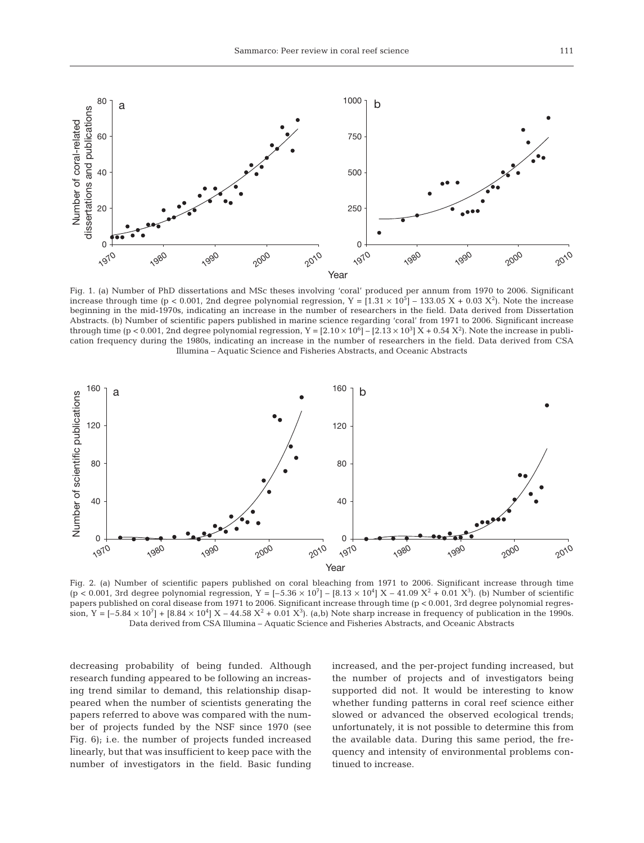

Fig. 1. (a) Number of PhD dissertations and MSc theses involving 'coral' produced per annum from 1970 to 2006. Significant increase through time (p < 0.001, 2nd degree polynomial regression,  $Y = [1.31 \times 10^5] - 133.05 X + 0.03 X^2$ ). Note the increase beginning in the mid-1970s, indicating an increase in the number of researchers in the field. Data derived from Dissertation Abstracts. (b) Number of scientific papers published in marine science regarding 'coral' from 1971 to 2006. Significant increase through time (p < 0.001, 2nd degree polynomial regression, Y =  $[2.10 \times 10^6]$  –  $[2.13 \times 10^3]$  X + 0.54 X<sup>2</sup>). Note the increase in publication frequency during the 1980s, indicating an increase in the number of researchers in the field. Data derived from CSA Illumina – Aquatic Science and Fisheries Abstracts, and Oceanic Abstracts



Fig. 2. (a) Number of scientific papers published on coral bleaching from 1971 to 2006. Significant increase through time  $(p < 0.001, 3$ rd degree polynomial regression, Y =  $[-5.36 \times 10^7] - [8.13 \times 10^4]$  X – 41.09 X<sup>2</sup> + 0.01 X<sup>3</sup>). (b) Number of scientific papers published on coral disease from 1971 to 2006. Significant increase through time (p < 0.001, 3rd degree polynomial regression, Y =  $[-5.84 \times 10^7] + [8.84 \times 10^4]$  X – 44.58 X<sup>2</sup> + 0.01 X<sup>3</sup>). (a,b) Note sharp increase in frequency of publication in the 1990s. Data derived from CSA Illumina – Aquatic Science and Fisheries Abstracts, and Oceanic Abstracts

decreasing probability of being funded. Although research funding appeared to be following an increasing trend similar to demand, this relationship disappeared when the number of scientists generating the papers referred to above was compared with the number of projects funded by the NSF since 1970 (see Fig. 6); i.e. the number of projects funded increased linearly, but that was insufficient to keep pace with the number of investigators in the field. Basic funding increased, and the per-project funding increased, but the number of projects and of investigators being supported did not. It would be interesting to know whether funding patterns in coral reef science either slowed or advanced the observed ecological trends; unfortunately, it is not possible to determine this from the available data. During this same period, the frequency and intensity of environmental problems continued to increase.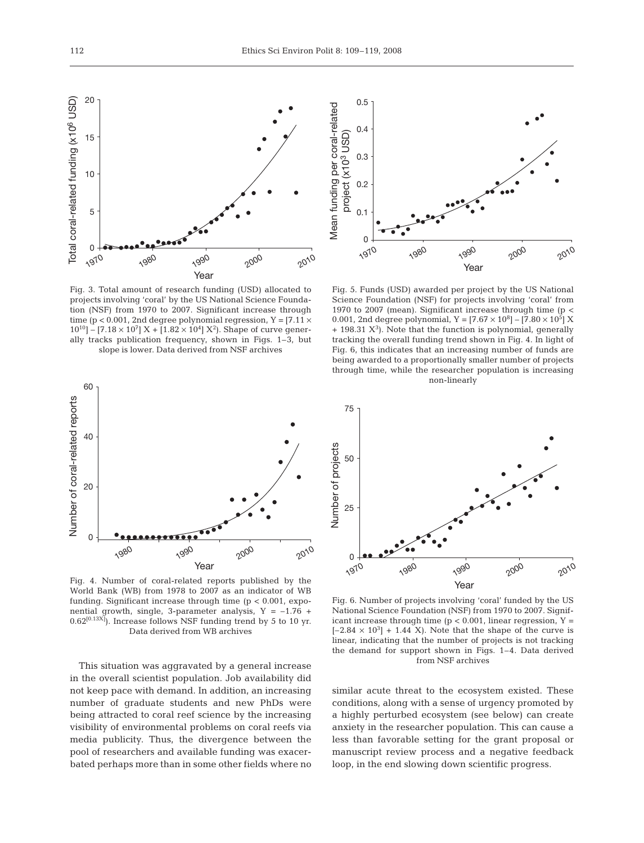

Fig. 3. Total amount of research funding (USD) allocated to projects involving 'coral' by the US National Science Foundation (NSF) from 1970 to 2007. Significant increase through time (p < 0.001, 2nd degree polynomial regression, Y =  $[7.11 \times$  $10^{10}$ ] – [7.18 × 10<sup>7</sup>] X + [1.82 × 10<sup>4</sup>] X<sup>2</sup>). Shape of curve generally tracks publication frequency, shown in Figs. 1–3, but slope is lower. Data derived from NSF archives



Fig. 4. Number of coral-related reports published by the World Bank (WB) from 1978 to 2007 as an indicator of WB funding. Significant increase through time (p < 0.001, exponential growth, single, 3-parameter analysis,  $Y = -1.76 +$  $(0.62^{[0.13X]})$ . Increase follows NSF funding trend by 5 to 10 yr. Data derived from WB archives

This situation was aggravated by a general increase in the overall scientist population. Job availability did not keep pace with demand. In addition, an increasing number of graduate students and new PhDs were being attracted to coral reef science by the increasing visibility of environmental problems on coral reefs via media publicity. Thus, the divergence between the pool of researchers and available funding was exacerbated perhaps more than in some other fields where no



Fig. 5. Funds (USD) awarded per project by the US National Science Foundation (NSF) for projects involving 'coral' from 1970 to 2007 (mean). Significant increase through time (p < 0.001, 2nd degree polynomial,  $Y = [7.67 \times 10^8] - [7.80 \times 10^5] X$  $+$  198.31  $X<sup>3</sup>$ ). Note that the function is polynomial, generally tracking the overall funding trend shown in Fig. 4. In light of Fig. 6, this indicates that an increasing number of funds are being awarded to a proportionally smaller number of projects through time, while the researcher population is increasing non-linearly



Fig. 6. Number of projects involving 'coral' funded by the US National Science Foundation (NSF) from 1970 to 2007. Significant increase through time ( $p < 0.001$ , linear regression,  $Y =$  $[-2.84 \times 10^3] + 1.44$  X). Note that the shape of the curve is linear, indicating that the number of projects is not tracking the demand for support shown in Figs. 1–4. Data derived from NSF archives

similar acute threat to the ecosystem existed. These conditions, along with a sense of urgency promoted by a highly perturbed ecosystem (see below) can create anxiety in the researcher population. This can cause a less than favorable setting for the grant proposal or manuscript review process and a negative feedback loop, in the end slowing down scientific progress.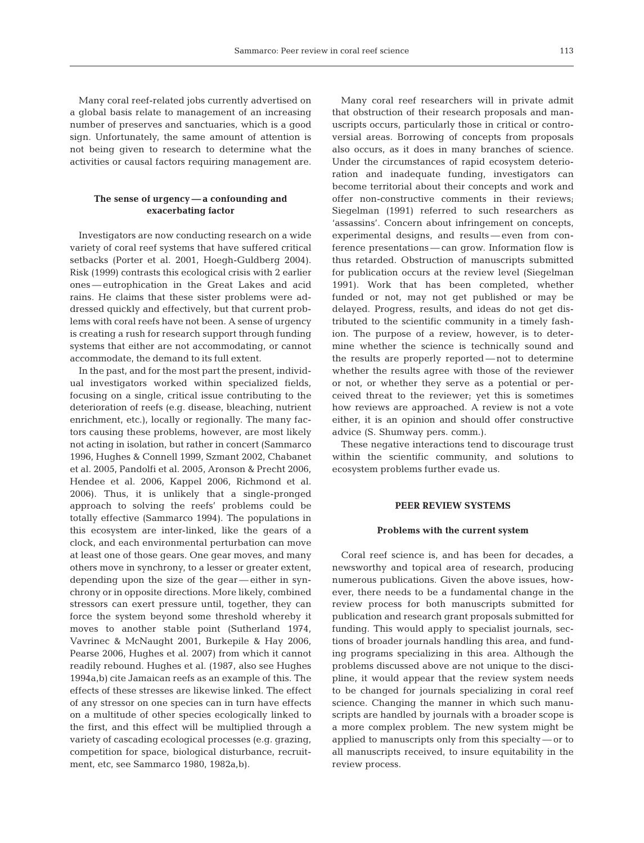Many coral reef-related jobs currently advertised on a global basis relate to management of an increasing number of preserves and sanctuaries, which is a good sign. Unfortunately, the same amount of attention is not being given to research to determine what the activities or causal factors requiring management are.

# **The sense of urgency — a confounding and exacerbating factor**

Investigators are now conducting research on a wide variety of coral reef systems that have suffered critical setbacks (Porter et al. 2001, Hoegh-Guldberg 2004). Risk (1999) contrasts this ecological crisis with 2 earlier ones — eutrophication in the Great Lakes and acid rains. He claims that these sister problems were addressed quickly and effectively, but that current problems with coral reefs have not been. A sense of urgency is creating a rush for research support through funding systems that either are not accommodating, or cannot accommodate, the demand to its full extent.

In the past, and for the most part the present, individual investigators worked within specialized fields, focusing on a single, critical issue contributing to the deterioration of reefs (e.g. disease, bleaching, nutrient enrichment, etc.), locally or regionally. The many factors causing these problems, however, are most likely not acting in isolation, but rather in concert (Sammarco 1996, Hughes & Connell 1999, Szmant 2002, Chabanet et al. 2005, Pandolfi et al. 2005, Aronson & Precht 2006, Hendee et al. 2006, Kappel 2006, Richmond et al. 2006). Thus, it is unlikely that a single-pronged approach to solving the reefs' problems could be totally effective (Sammarco 1994). The populations in this ecosystem are inter-linked, like the gears of a clock, and each environmental perturbation can move at least one of those gears. One gear moves, and many others move in synchrony, to a lesser or greater extent, depending upon the size of the gear — either in synchrony or in opposite directions. More likely, combined stressors can exert pressure until, together, they can force the system beyond some threshold whereby it moves to another stable point (Sutherland 1974, Vavrinec & McNaught 2001, Burkepile & Hay 2006, Pearse 2006, Hughes et al. 2007) from which it cannot readily rebound. Hughes et al. (1987, also see Hughes 1994a,b) cite Jamaican reefs as an example of this. The effects of these stresses are likewise linked. The effect of any stressor on one species can in turn have effects on a multitude of other species ecologically linked to the first, and this effect will be multiplied through a variety of cascading ecological processes (e.g. grazing, competition for space, biological disturbance, recruitment, etc, see Sammarco 1980, 1982a,b).

Many coral reef researchers will in private admit that obstruction of their research proposals and manuscripts occurs, particularly those in critical or controversial areas. Borrowing of concepts from proposals also occurs, as it does in many branches of science. Under the circumstances of rapid ecosystem deterioration and inadequate funding, investigators can become territorial about their concepts and work and offer non-constructive comments in their reviews; Siegelman (1991) referred to such researchers as 'assassins'. Concern about infringement on concepts, experimental designs, and results — even from conference presentations — can grow. Information flow is thus retarded. Obstruction of manuscripts submitted for publication occurs at the review level (Siegelman 1991). Work that has been completed, whether funded or not, may not get published or may be delayed. Progress, results, and ideas do not get distributed to the scientific community in a timely fashion. The purpose of a review, however, is to determine whether the science is technically sound and the results are properly reported — not to determine whether the results agree with those of the reviewer or not, or whether they serve as a potential or perceived threat to the reviewer; yet this is sometimes how reviews are approached. A review is not a vote either, it is an opinion and should offer constructive advice (S. Shumway pers. comm.).

These negative interactions tend to discourage trust within the scientific community, and solutions to ecosystem problems further evade us.

#### **PEER REVIEW SYSTEMS**

#### **Problems with the current system**

Coral reef science is, and has been for decades, a newsworthy and topical area of research, producing numerous publications. Given the above issues, however, there needs to be a fundamental change in the review process for both manuscripts submitted for publication and research grant proposals submitted for funding. This would apply to specialist journals, sections of broader journals handling this area, and funding programs specializing in this area. Although the problems discussed above are not unique to the discipline, it would appear that the review system needs to be changed for journals specializing in coral reef science. Changing the manner in which such manuscripts are handled by journals with a broader scope is a more complex problem. The new system might be applied to manuscripts only from this specialty — or to all manuscripts received, to insure equitability in the review process.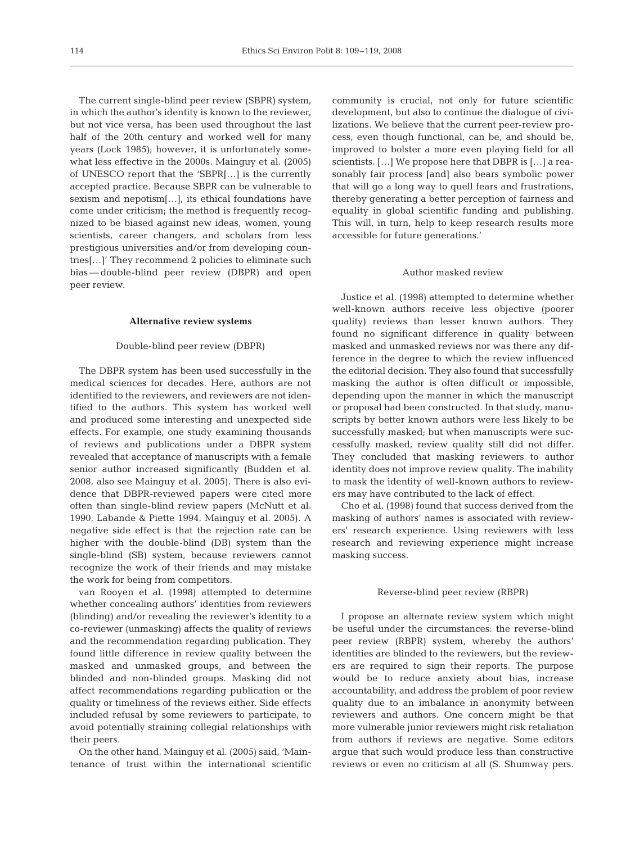The current single-blind peer review (SBPR) system, in which the author's identity is known to the reviewer, but not vice versa, has been used throughout the last half of the 20th century and worked well for many years (Lock 1985); however, it is unfortunately somewhat less effective in the 2000s. Mainguy et al. (2005) of UNESCO report that the 'SBPR[…] is the currently accepted practice. Because SBPR can be vulnerable to sexism and nepotism[…], its ethical foundations have come under criticism; the method is frequently recognized to be biased against new ideas, women, young scientists, career changers, and scholars from less prestigious universities and/or from developing countries[…]' They recommend 2 policies to eliminate such bias — double-blind peer review (DBPR) and open peer review.

#### **Alternative review systems**

#### Double-blind peer review (DBPR)

The DBPR system has been used successfully in the medical sciences for decades. Here, authors are not identified to the reviewers, and reviewers are not identified to the authors. This system has worked well and produced some interesting and unexpected side effects. For example, one study examining thousands of reviews and publications under a DBPR system revealed that acceptance of manuscripts with a female senior author increased significantly (Budden et al. 2008, also see Mainguy et al. 2005). There is also evidence that DBPR-reviewed papers were cited more often than single-blind review papers (McNutt et al. 1990, Labande & Piette 1994, Mainguy et al. 2005). A negative side effect is that the rejection rate can be higher with the double-blind (DB) system than the single-blind (SB) system, because reviewers cannot recognize the work of their friends and may mistake the work for being from competitors.

van Rooyen et al. (1998) attempted to determine whether concealing authors' identities from reviewers (blinding) and/or revealing the reviewer's identity to a co-reviewer (unmasking) affects the quality of reviews and the recommendation regarding publication. They found little difference in review quality between the masked and unmasked groups, and between the blinded and non-blinded groups. Masking did not affect recommendations regarding publication or the quality or timeliness of the reviews either. Side effects included refusal by some reviewers to participate, to avoid potentially straining collegial relationships with their peers.

On the other hand, Mainguy et al. (2005) said, 'Maintenance of trust within the international scientific community is crucial, not only for future scientific development, but also to continue the dialogue of civilizations. We believe that the current peer-review process, even though functional, can be, and should be, improved to bolster a more even playing field for all scientists. […] We propose here that DBPR is […] a reasonably fair process [and] also bears symbolic power that will go a long way to quell fears and frustrations, thereby generating a better perception of fairness and equality in global scientific funding and publishing. This will, in turn, help to keep research results more accessible for future generations.'

#### Author masked review

Justice et al. (1998) attempted to determine whether well-known authors receive less objective (poorer quality) reviews than lesser known authors. They found no significant difference in quality between masked and unmasked reviews nor was there any difference in the degree to which the review influenced the editorial decision. They also found that successfully masking the author is often difficult or impossible, depending upon the manner in which the manuscript or proposal had been constructed. In that study, manuscripts by better known authors were less likely to be successfully masked; but when manuscripts were successfully masked, review quality still did not differ. They concluded that masking reviewers to author identity does not improve review quality. The inability to mask the identity of well-known authors to reviewers may have contributed to the lack of effect.

Cho et al. (1998) found that success derived from the masking of authors' names is associated with reviewers' research experience. Using reviewers with less research and reviewing experience might increase masking success.

#### Reverse-blind peer review (RBPR)

I propose an alternate review system which might be useful under the circumstances: the reverse-blind peer review (RBPR) system, whereby the authors' identities are blinded to the reviewers, but the reviewers are required to sign their reports. The purpose would be to reduce anxiety about bias, increase accountability, and address the problem of poor review quality due to an imbalance in anonymity between reviewers and authors. One concern might be that more vulnerable junior reviewers might risk retaliation from authors if reviews are negative. Some editors argue that such would produce less than constructive reviews or even no criticism at all (S. Shumway pers.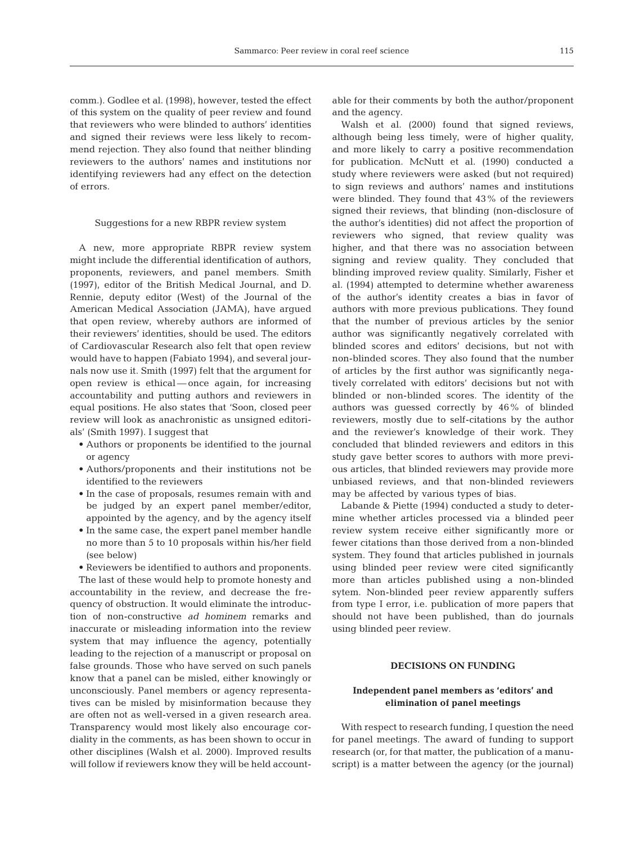comm.). Godlee et al. (1998), however, tested the effect of this system on the quality of peer review and found that reviewers who were blinded to authors' identities and signed their reviews were less likely to recommend rejection. They also found that neither blinding reviewers to the authors' names and institutions nor identifying reviewers had any effect on the detection of errors.

#### Suggestions for a new RBPR review system

A new, more appropriate RBPR review system might include the differential identification of authors, proponents, reviewers, and panel members. Smith (1997), editor of the British Medical Journal, and D. Rennie, deputy editor (West) of the Journal of the American Medical Association (JAMA), have argued that open review, whereby authors are informed of their reviewers' identities, should be used. The editors of Cardiovascular Research also felt that open review would have to happen (Fabiato 1994), and several journals now use it. Smith (1997) felt that the argument for open review is ethical — once again, for increasing accountability and putting authors and reviewers in equal positions. He also states that 'Soon, closed peer review will look as anachronistic as unsigned editorials' (Smith 1997). I suggest that

- Authors or proponents be identified to the journal or agency
- Authors/proponents and their institutions not be identified to the reviewers
- In the case of proposals, resumes remain with and be judged by an expert panel member/editor, appointed by the agency, and by the agency itself
- In the same case, the expert panel member handle no more than 5 to 10 proposals within his/her field (see below)
- Reviewers be identified to authors and proponents.

The last of these would help to promote honesty and accountability in the review, and decrease the frequency of obstruction. It would eliminate the introduction of non-constructive *ad hominem* remarks and inaccurate or misleading information into the review system that may influence the agency, potentially leading to the rejection of a manuscript or proposal on false grounds. Those who have served on such panels know that a panel can be misled, either knowingly or unconsciously. Panel members or agency representatives can be misled by misinformation because they are often not as well-versed in a given research area. Transparency would most likely also encourage cordiality in the comments, as has been shown to occur in other disciplines (Walsh et al. 2000). Improved results will follow if reviewers know they will be held accountable for their comments by both the author/proponent and the agency.

Walsh et al. (2000) found that signed reviews, although being less timely, were of higher quality, and more likely to carry a positive recommendation for publication. McNutt et al. (1990) conducted a study where reviewers were asked (but not required) to sign reviews and authors' names and institutions were blinded. They found that 43% of the reviewers signed their reviews, that blinding (non-disclosure of the author's identities) did not affect the proportion of reviewers who signed, that review quality was higher, and that there was no association between signing and review quality. They concluded that blinding improved review quality. Similarly, Fisher et al. (1994) attempted to determine whether awareness of the author's identity creates a bias in favor of authors with more previous publications. They found that the number of previous articles by the senior author was significantly negatively correlated with blinded scores and editors' decisions, but not with non-blinded scores. They also found that the number of articles by the first author was significantly negatively correlated with editors' decisions but not with blinded or non-blinded scores. The identity of the authors was guessed correctly by 46% of blinded reviewers, mostly due to self-citations by the author and the reviewer's knowledge of their work. They concluded that blinded reviewers and editors in this study gave better scores to authors with more previous articles, that blinded reviewers may provide more unbiased reviews, and that non-blinded reviewers may be affected by various types of bias.

Labande & Piette (1994) conducted a study to determine whether articles processed via a blinded peer review system receive either significantly more or fewer citations than those derived from a non-blinded system. They found that articles published in journals using blinded peer review were cited significantly more than articles published using a non-blinded sytem. Non-blinded peer review apparently suffers from type I error, i.e. publication of more papers that should not have been published, than do journals using blinded peer review.

# **DECISIONS ON FUNDING**

# **Independent panel members as 'editors' and elimination of panel meetings**

With respect to research funding, I question the need for panel meetings. The award of funding to support research (or, for that matter, the publication of a manuscript) is a matter between the agency (or the journal)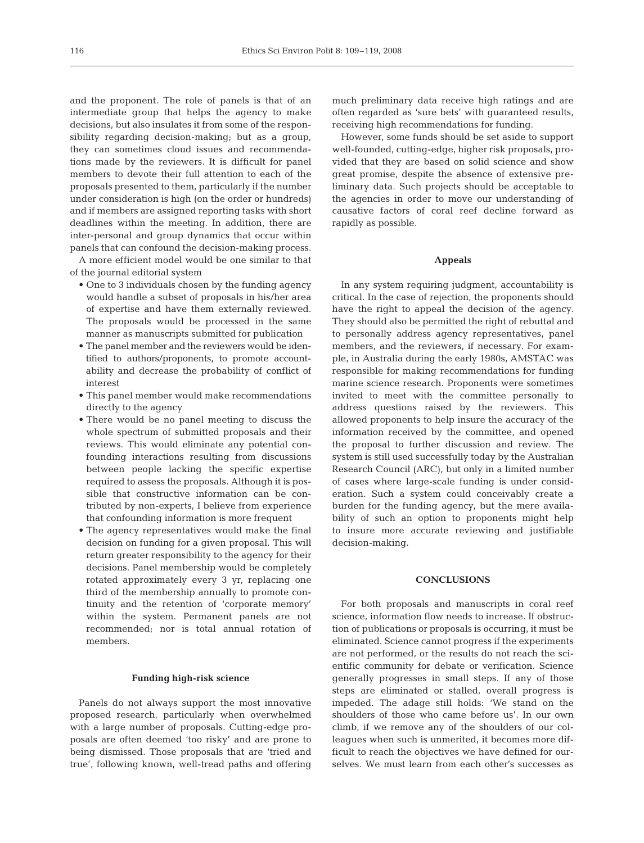and the proponent. The role of panels is that of an intermediate group that helps the agency to make decisions, but also insulates it from some of the responsibility regarding decision-making; but as a group, they can sometimes cloud issues and recommendations made by the reviewers. It is difficult for panel members to devote their full attention to each of the proposals presented to them, particularly if the number under consideration is high (on the order or hundreds) and if members are assigned reporting tasks with short deadlines within the meeting. In addition, there are inter-personal and group dynamics that occur within panels that can confound the decision-making process.

A more efficient model would be one similar to that of the journal editorial system

- One to 3 individuals chosen by the funding agency would handle a subset of proposals in his/her area of expertise and have them externally reviewed. The proposals would be processed in the same manner as manuscripts submitted for publication
- The panel member and the reviewers would be identified to authors/proponents, to promote accountability and decrease the probability of conflict of interest
- This panel member would make recommendations directly to the agency
- There would be no panel meeting to discuss the whole spectrum of submitted proposals and their reviews. This would eliminate any potential confounding interactions resulting from discussions between people lacking the specific expertise required to assess the proposals. Although it is possible that constructive information can be contributed by non-experts, I believe from experience that confounding information is more frequent
- The agency representatives would make the final decision on funding for a given proposal. This will return greater responsibility to the agency for their decisions. Panel membership would be completely rotated approximately every 3 yr, replacing one third of the membership annually to promote continuity and the retention of 'corporate memory' within the system. Permanent panels are not recommended; nor is total annual rotation of members.

#### **Funding high-risk science**

Panels do not always support the most innovative proposed research, particularly when overwhelmed with a large number of proposals. Cutting-edge proposals are often deemed 'too risky' and are prone to being dismissed. Those proposals that are 'tried and true', following known, well-tread paths and offering

much preliminary data receive high ratings and are often regarded as 'sure bets' with guaranteed results, receiving high recommendations for funding.

However, some funds should be set aside to support well-founded, cutting-edge, higher risk proposals, provided that they are based on solid science and show great promise, despite the absence of extensive preliminary data. Such projects should be acceptable to the agencies in order to move our understanding of causative factors of coral reef decline forward as rapidly as possible.

#### **Appeals**

In any system requiring judgment, accountability is critical. In the case of rejection, the proponents should have the right to appeal the decision of the agency. They should also be permitted the right of rebuttal and to personally address agency representatives, panel members, and the reviewers, if necessary. For example, in Australia during the early 1980s, AMSTAC was responsible for making recommendations for funding marine science research. Proponents were sometimes invited to meet with the committee personally to address questions raised by the reviewers. This allowed proponents to help insure the accuracy of the information received by the committee, and opened the proposal to further discussion and review. The system is still used successfully today by the Australian Research Council (ARC), but only in a limited number of cases where large-scale funding is under consideration. Such a system could conceivably create a burden for the funding agency, but the mere availability of such an option to proponents might help to insure more accurate reviewing and justifiable decision-making.

#### **CONCLUSIONS**

For both proposals and manuscripts in coral reef science, information flow needs to increase. If obstruction of publications or proposals is occurring, it must be eliminated. Science cannot progress if the experiments are not performed, or the results do not reach the scientific community for debate or verification. Science generally progresses in small steps. If any of those steps are eliminated or stalled, overall progress is impeded. The adage still holds: 'We stand on the shoulders of those who came before us'. In our own climb, if we remove any of the shoulders of our colleagues when such is unmerited, it becomes more difficult to reach the objectives we have defined for ourselves. We must learn from each other's successes as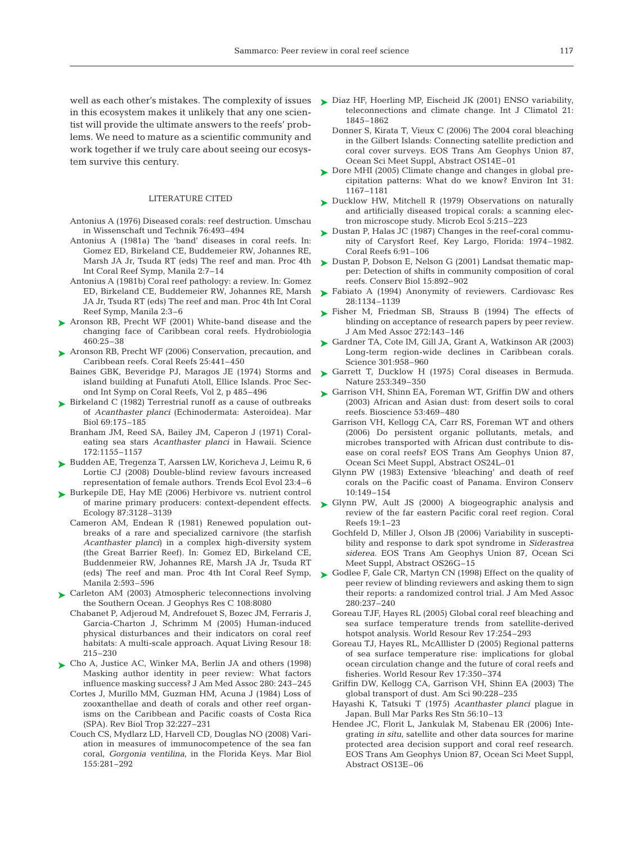in this ecosystem makes it unlikely that any one scientist will provide the ultimate answers to the reefs' problems. We need to mature as a scientific community and work together if we truly care about seeing our ecosystem survive this century.

#### LITERATURE CITED

- Antonius A (1976) Diseased corals: reef destruction. Umschau in Wissenschaft und Technik 76:493–494
- Antonius A (1981a) The 'band' diseases in coral reefs. In: Gomez ED, Birkeland CE, Buddemeier RW, Johannes RE, Marsh JA Jr, Tsuda RT (eds) The reef and man. Proc 4th Int Coral Reef Symp, Manila 2:7–14
- Antonius A (1981b) Coral reef pathology: a review. In: Gomez ED, Birkeland CE, Buddemeier RW, Johannes RE, Marsh JA Jr, Tsuda RT (eds) The reef and man. Proc 4th Int Coral Reef Symp, Manila 2:3–6
- ▶ Aronson RB, Precht WF (2001) White-band disease and the changing face of Caribbean coral reefs. Hydrobiologia 460:25–38
- ► Aronson RB, Precht WF (2006) Conservation, precaution, and Caribbean reefs. Coral Reefs 25:441–450
	- Baines GBK, Beveridge PJ, Maragos JE (1974) Storms and island building at Funafuti Atoll, Ellice Islands. Proc Second Int Symp on Coral Reefs, Vol 2, p 485–496
- ► Birkeland C (1982) Terrestrial runoff as a cause of outbreaks of *Acanthaster planci* (Echinodermata: Asteroidea). Mar Biol 69:175–185
	- Branham JM, Reed SA, Bailey JM, Caperon J (1971) Coraleating sea stars *Acanthaster planci* in Hawaii. Science 172:1155–1157
- ► Budden AE, Tregenza T, Aarssen LW, Koricheva J, Leimu R, 6 Lortie CJ (2008) Double-blind review favours increased representation of female authors. Trends Ecol Evol 23:4–6
- ▶ Burkepile DE, Hay ME (2006) Herbivore vs. nutrient control of marine primary producers: context-dependent effects. Ecology 87:3128–3139
	- Cameron AM, Endean R (1981) Renewed population outbreaks of a rare and specialized carnivore (the starfish *Acanthaster planci*) in a complex high-diversity system (the Great Barrier Reef). In: Gomez ED, Birkeland CE, Buddenmeier RW, Johannes RE, Marsh JA Jr, Tsuda RT Manila 2:593–596
- ► Carleton AM (2003) Atmospheric teleconnections involving the Southern Ocean. J Geophys Res C 108:8080
	- Chabanet P, Adjeroud M, Andrefouet S, Bozec JM, Ferraris J, Garcia-Charton J, Schrimm M (2005) Human-induced physical disturbances and their indicators on coral reef habitats: A multi-scale approach. Aquat Living Resour 18: 215–230
- ► Cho A, Justice AC, Winker MA, Berlin JA and others (1998) Masking author identity in peer review: What factors influence masking success? J Am Med Assoc 280: 243–245
	- Cortes J, Murillo MM, Guzman HM, Acuna J (1984) Loss of zooxanthellae and death of corals and other reef organisms on the Caribbean and Pacific coasts of Costa Rica (SPA). Rev Biol Trop 32:227–231
	- Couch CS, Mydlarz LD, Harvell CD, Douglas NO (2008) Variation in measures of immunocompetence of the sea fan coral, *Gorgonia ventilina*, in the Florida Keys. Mar Biol 155:281–292
- well as each other's mistakes. The complexity of issues > Diaz HF, Hoerling MP, Eischeid JK (2001) ENSO variability, teleconnections and climate change. Int J Climatol 21: 1845–1862
	- Donner S, Kirata T, Vieux C (2006) The 2004 coral bleaching in the Gilbert Islands: Connecting satellite prediction and coral cover surveys. EOS Trans Am Geophys Union 87, Ocean Sci Meet Suppl, Abstract OS14E–01
	- ► Dore MHI (2005) Climate change and changes in global precipitation patterns: What do we know? Environ Int 31: 1167–1181
	- ► Ducklow HW, Mitchell R (1979) Observations on naturally and artificially diseased tropical corals: a scanning electron microscope study. Microb Ecol 5:215–223
	- ► Dustan P, Halas JC (1987) Changes in the reef-coral community of Carysfort Reef, Key Largo, Florida: 1974–1982. Coral Reefs 6:91–106
	- ► Dustan P, Dobson E, Nelson G (2001) Landsat thematic mapper: Detection of shifts in community composition of coral reefs. Conserv Biol 15:892–902
	- ► Fabiato A (1994) Anonymity of reviewers. Cardiovasc Res 28:1134–1139
	- ► Fisher M, Friedman SB, Strauss B (1994) The effects of blinding on acceptance of research papers by peer review. J Am Med Assoc 272:143–146
	- ► Gardner TA, Cote IM, Gill JA, Grant A, Watkinson AR (2003) Long-term region-wide declines in Caribbean corals. Science 301:958–960
	- ▶ Garrett T, Ducklow H (1975) Coral diseases in Bermuda. Nature 253:349–350
	- ► Garrison VH, Shinn EA, Foreman WT, Griffin DW and others (2003) African and Asian dust: from desert soils to coral reefs. Bioscience 53:469–480
		- Garrison VH, Kellogg CA, Carr RS, Foreman WT and others (2006) Do persistent organic pollutants, metals, and microbes transported with African dust contribute to disease on coral reefs? EOS Trans Am Geophys Union 87, Ocean Sci Meet Suppl, Abstract OS24L–01
		- Glynn PW (1983) Extensive 'bleaching' and death of reef corals on the Pacific coast of Panama. Environ Conserv 10:149–154
	- ► Glynn PW, Ault JS (2000) A biogeographic analysis and review of the far eastern Pacific coral reef region. Coral Reefs 19:1–23
		- Gochfeld D, Miller J, Olson JB (2006) Variability in susceptibility and response to dark spot syndrome in *Siderastrea siderea.* EOS Trans Am Geophys Union 87, Ocean Sci Meet Suppl, Abstract OS26G–15
	- (eds) The reef and man. Proc 4th Int Coral Reef Symp, Godlee F, Gale CR, Martyn CN (1998) Effect on the quality of ➤peer review of blinding reviewers and asking them to sign their reports: a randomized control trial. J Am Med Assoc 280:237–240
		- Goreau TJF, Hayes RL (2005) Global coral reef bleaching and sea surface temperature trends from satellite-derived hotspot analysis. World Resour Rev 17:254–293
		- Goreau TJ, Hayes RL, McAlllister D (2005) Regional patterns of sea surface temperature rise: implications for global ocean circulation change and the future of coral reefs and fisheries. World Resour Rev 17:350–374
		- Griffin DW, Kellogg CA, Garrison VH, Shinn EA (2003) The global transport of dust. Am Sci 90:228–235
		- Hayashi K, Tatsuki T (1975) *Acanthaster planci* plague in Japan. Bull Mar Parks Res Stn 56:10–13
		- Hendee JC, Florit L, Jankulak M, Stabenau ER (2006) Integrating *in situ*, satellite and other data sources for marine protected area decision support and coral reef research. EOS Trans Am Geophys Union 87, Ocean Sci Meet Suppl, Abstract OS13E–06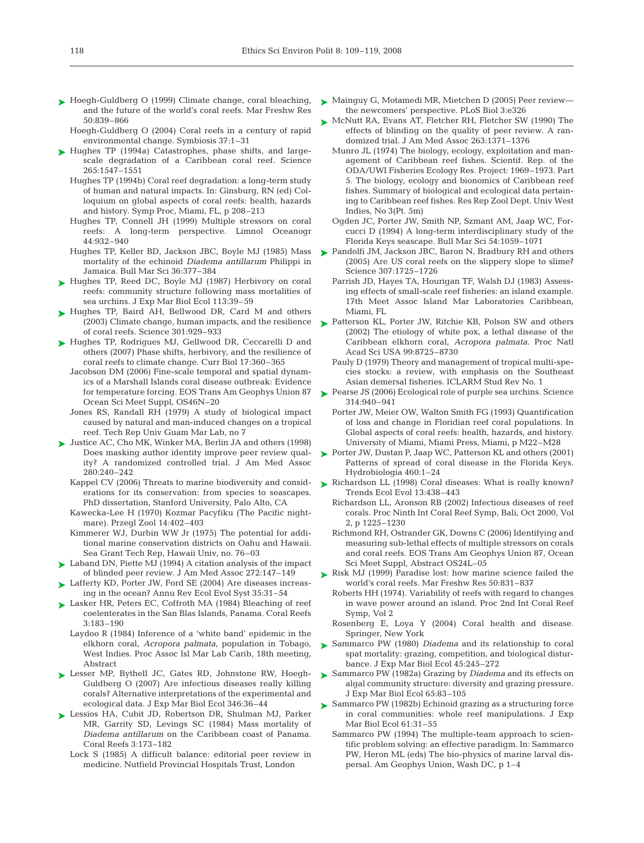- ► Hoegh-Guldberg O (1999) Climate change, coral bleaching, and the future of the world's coral reefs. Mar Freshw Res 50:839–866
	- Hoegh-Guldberg O (2004) Coral reefs in a century of rapid environmental change. Symbiosis 37:1–31
- ► Hughes TP (1994a) Catastrophes, phase shifts, and largescale degradation of a Caribbean coral reef. Science 265:1547–1551
	- Hughes TP (1994b) Coral reef degradation: a long-term study of human and natural impacts. In: Ginsburg, RN (ed) Colloquium on global aspects of coral reefs: health, hazards and history. Symp Proc, Miami, FL, p 208–213
	- Hughes TP, Connell JH (1999) Multiple stressors on coral reefs: A long-term perspective. Limnol Oceanogr 44:932–940
	- Hughes TP, Keller BD, Jackson JBC, Boyle MJ (1985) Mass mortality of the echinoid *Diadema antillarum* Philippi in Jamaica. Bull Mar Sci 36:377–384
- ► Hughes TP, Reed DC, Boyle MJ (1987) Herbivory on coral reefs: community structure following mass mortalities of sea urchins. J Exp Mar Biol Ecol 113:39–59
- ► Hughes TP, Baird AH, Bellwood DR, Card M and others (2003) Climate change, human impacts, and the resilience of coral reefs. Science 301:929–933
- ► Hughes TP, Rodrigues MJ, Gellwood DR, Ceccarelli D and others (2007) Phase shifts, herbivory, and the resilience of coral reefs to climate change. Curr Biol 17:360–365
	- Jacobson DM (2006) Fine-scale temporal and spatial dynamics of a Marshall Islands coral disease outbreak: Evidence for temperature forcing. EOS Trans Am Geophys Union 87 Ocean Sci Meet Suppl, OS46N–20
	- Jones RS, Randall RH (1979) A study of biological impact caused by natural and man-induced changes on a tropical reef. Tech Rep Univ Guam Mar Lab, no 7
- ► Justice AC, Cho MK, Winker MA, Berlin JA and others (1998) Does masking author identity improve peer review quality? A randomized controlled trial. J Am Med Assoc 280:240–242
	- Kappel CV (2006) Threats to marine biodiversity and considerations for its conservation: from species to seascapes. PhD dissertation, Stanford University, Palo Alto, CA
	- Kawecka-Lee H (1970) Kozmar Pacyfiku (The Pacific nightmare). Przegl Zool 14:402–403
	- Kimmerer WJ, Durbin WW Jr (1975) The potential for additional marine conservation districts on Oahu and Hawaii. Sea Grant Tech Rep, Hawaii Univ, no. 76–03
- ► Laband DN, Piette MJ (1994) A citation analysis of the impact of blinded peer review. J Am Med Assoc 272:147–149
- ► Lafferty KD, Porter JW, Ford SE (2004) Are diseases increasing in the ocean? Annu Rev Ecol Evol Syst 35:31–54
- ► Lasker HR, Peters EC, Coffroth MA (1984) Bleaching of reef coelenterates in the San Blas Islands, Panama. Coral Reefs 3:183–190
	- Laydoo R (1984) Inference of a 'white band' epidemic in the elkhorn coral, *Acropora palmata*, population in Tobago, West Indies. Proc Assoc Isl Mar Lab Carib, 18th meeting, Abstract
- ► Lesser MP, Bythell JC, Gates RD, Johnstone RW, Hoegh-Guldberg O (2007) Are infectious diseases really killing corals? Alternative interpretations of the experimental and ecological data. J Exp Mar Biol Ecol 346:36–44
- ► Lessios HA, Cubit JD, Robertson DR, Shulman MJ, Parker MR, Garrity SD, Levings SC (1984) Mass mortality of *Diadema antillarum* on the Caribbean coast of Panama. Coral Reefs 3:173–182
	- Lock S (1985) A difficult balance: editorial peer review in medicine. Nutfield Provincial Hospitals Trust, London
- ► Mainguy G, Motamedi MR, Mietchen D (2005) Peer review the newcomers' perspective. PLoS Biol 3:e326
- ► McNutt RA, Evans AT, Fletcher RH, Fletcher SW (1990) The effects of blinding on the quality of peer review. A randomized trial. J Am Med Assoc 263:1371–1376
	- Munro JL (1974) The biology, ecology, exploitation and management of Caribbean reef fishes. Scientif. Rep. of the ODA/UWI Fisheries Ecology Res. Project: 1969–1973. Part 5. The biology, ecology and bionomics of Caribbean reef fishes. Summary of biological and ecological data pertaining to Caribbean reef fishes. Res Rep Zool Dept. Univ West Indies, No 3(Pt. 5m)
	- Ogden JC, Porter JW, Smith NP, Szmant AM, Jaap WC, Forcucci D (1994) A long-term interdisciplinary study of the Florida Keys seascape. Bull Mar Sci 54:1059–1071
- ► Pandolfi JM, Jackson JBC, Baron N, Bradbury RH and others (2005) Are US coral reefs on the slippery slope to slime? Science 307:1725–1726
	- Parrish JD, Hayes TA, Hourigan TF, Walsh DJ (1983) Assessing effects of small-scale reef fisheries: an island example. 17th Meet Assoc Island Mar Laboratories Caribbean, Miami, FL
- ► Patterson KL, Porter JW, Ritchie KB, Polson SW and others (2002) The etiology of white pox, a lethal disease of the Caribbean elkhorn coral, *Acropora palmata.* Proc Natl Acad Sci USA 99:8725–8730
	- Pauly D (1979) Theory and management of tropical multi-species stocks: a review, with emphasis on the Southeast Asian demersal fisheries. ICLARM Stud Rev No. 1
- ▶ Pearse JS (2006) Ecological role of purple sea urchins. Science 314:940–941
	- Porter JW, Meier OW, Walton Smith FG (1993) Quantification of loss and change in Floridian reef coral populations. In Global aspects of coral reefs: health, hazards, and history. University of Miami, Miami Press, Miami, p M22–M28
- Porter JW, Dustan P, Jaap WC, Patterson KL and others (2001) Patterns of spread of coral disease in the Florida Keys. Hydrobiologia 460:1–24 ➤
- ► Richardson LL (1998) Coral diseases: What is really known? Trends Ecol Evol 13:438–443
	- Richardson LL, Aronson RB (2002) Infectious diseases of reef corals. Proc Ninth Int Coral Reef Symp, Bali, Oct 2000, Vol 2, p 1225–1230
	- Richmond RH, Ostrander GK, Downs C (2006) Identifying and measuring sub-lethal effects of multiple stressors on corals and coral reefs. EOS Trans Am Geophys Union 87, Ocean Sci Meet Suppl, Abstract OS24L–05
- ▶ Risk MJ (1999) Paradise lost: how marine science failed the world's coral reefs. Mar Freshw Res 50:831–837
	- Roberts HH (1974). Variability of reefs with regard to changes in wave power around an island. Proc 2nd Int Coral Reef Symp, Vol 2
	- Rosenberg E, Loya Y (2004) Coral health and disease. Springer, New York
- Sammarco PW (1980) *Diadema* and its relationship to coral spat mortality: grazing, competition, and biological disturbance. J Exp Mar Biol Ecol 45:245–272 ➤
- ► Sammarco PW (1982a) Grazing by *Diadema* and its effects on algal community structure: diversity and grazing pressure. J Exp Mar Biol Ecol 65:83–105
- ► Sammarco PW (1982b) Echinoid grazing as a structuring force in coral communities: whole reef manipulations. J Exp Mar Biol Ecol 61:31–55
	- Sammarco PW (1994) The multiple-team approach to scientific problem solving: an effective paradigm. In: Sammarco PW, Heron ML (eds) The bio-physics of marine larval dispersal. Am Geophys Union, Wash DC, p 1–4